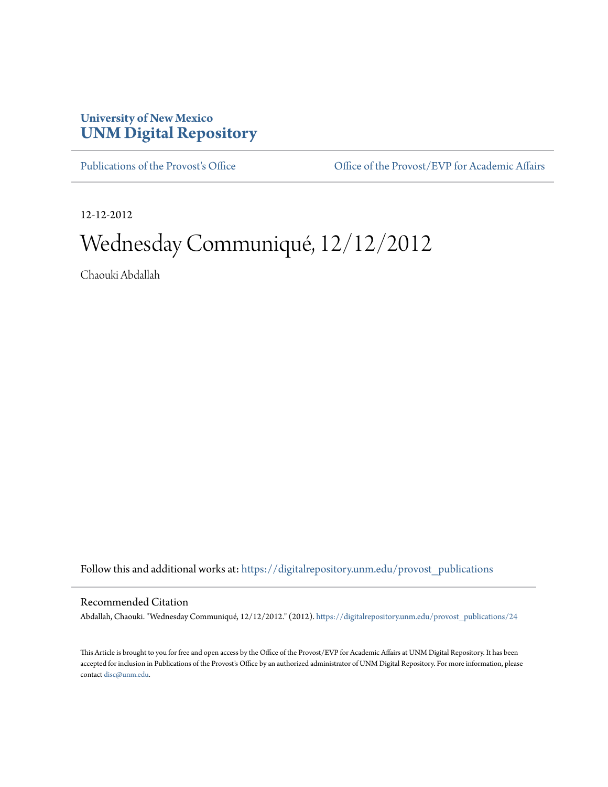## **University of New Mexico [UNM Digital Repository](https://digitalrepository.unm.edu?utm_source=digitalrepository.unm.edu%2Fprovost_publications%2F24&utm_medium=PDF&utm_campaign=PDFCoverPages)**

[Publications of the Provost's Office](https://digitalrepository.unm.edu/provost_publications?utm_source=digitalrepository.unm.edu%2Fprovost_publications%2F24&utm_medium=PDF&utm_campaign=PDFCoverPages) Office [Office of the Provost/EVP for Academic Affairs](https://digitalrepository.unm.edu/ofc_provost?utm_source=digitalrepository.unm.edu%2Fprovost_publications%2F24&utm_medium=PDF&utm_campaign=PDFCoverPages)

12-12-2012

# Wednesday Communiqué, 12/12/2012

Chaouki Abdallah

Follow this and additional works at: [https://digitalrepository.unm.edu/provost\\_publications](https://digitalrepository.unm.edu/provost_publications?utm_source=digitalrepository.unm.edu%2Fprovost_publications%2F24&utm_medium=PDF&utm_campaign=PDFCoverPages)

#### Recommended Citation

Abdallah, Chaouki. "Wednesday Communiqué, 12/12/2012." (2012). [https://digitalrepository.unm.edu/provost\\_publications/24](https://digitalrepository.unm.edu/provost_publications/24?utm_source=digitalrepository.unm.edu%2Fprovost_publications%2F24&utm_medium=PDF&utm_campaign=PDFCoverPages)

This Article is brought to you for free and open access by the Office of the Provost/EVP for Academic Affairs at UNM Digital Repository. It has been accepted for inclusion in Publications of the Provost's Office by an authorized administrator of UNM Digital Repository. For more information, please contact [disc@unm.edu.](mailto:disc@unm.edu)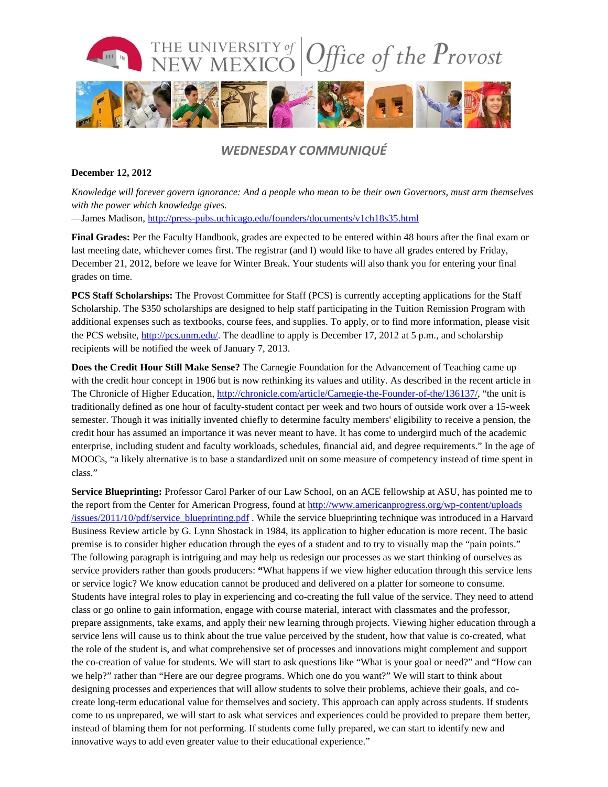

### *WEDNESDAY COMMUNIQUÉ*

#### **December 12, 2012**

*Knowledge will forever govern ignorance: And a people who mean to be their own Governors, must arm themselves with the power which knowledge gives.* —James Madison, <http://press-pubs.uchicago.edu/founders/documents/v1ch18s35.html>

**Final Grades:** Per the Faculty Handbook, grades are expected to be entered within 48 hours after the final exam or last meeting date, whichever comes first. The registrar (and I) would like to have all grades entered by Friday, December 21, 2012, before we leave for Winter Break. Your students will also thank you for entering your final grades on time.

**PCS Staff Scholarships:** The Provost Committee for Staff (PCS) is currently accepting applications for the Staff Scholarship. The \$350 scholarships are designed to help staff participating in the Tuition Remission Program with additional expenses such as textbooks, course fees, and supplies. To apply, or to find more information, please visit the PCS website, [http://pcs.unm.edu/.](http://pcs.unm.edu/) The deadline to apply is December 17, 2012 at 5 p.m., and scholarship recipients will be notified the week of January 7, 2013.

**Does the Credit Hour Still Make Sense?** The Carnegie Foundation for the Advancement of Teaching came up with the credit hour concept in 1906 but is now rethinking its values and utility. As described in the recent article in The Chronicle of Higher Education[, http://chronicle.com/article/Carnegie-the-Founder-of-the/136137/,](http://chronicle.com/article/Carnegie-the-Founder-of-the/136137/) "the unit is traditionally defined as one hour of faculty-student contact per week and two hours of outside work over a 15-week semester. Though it was initially invented chiefly to determine faculty members' eligibility to receive a pension, the credit hour has assumed an importance it was never meant to have. It has come to undergird much of the academic enterprise, including student and faculty workloads, schedules, financial aid, and degree requirements." In the age of MOOCs, "a likely alternative is to base a standardized unit on some measure of competency instead of time spent in class."

**Service Blueprinting:** Professor Carol Parker of our Law School, on an ACE fellowship at ASU, has pointed me to the report from the Center for American Progress, found at [http://www.americanprogress.org/wp-content/uploads](http://www.americanprogress.org/wp-content/uploads/issues/2011/10/pdf/service_blueprinting.pdf)  $/$ issues/2011/10/pdf/service blueprinting.pdf . While the service blueprinting technique was introduced in a Harvard Business Review article by G. Lynn Shostack in 1984, its application to higher education is more recent. The basic premise is to consider higher education through the eyes of a student and to try to visually map the "pain points." The following paragraph is intriguing and may help us redesign our processes as we start thinking of ourselves as service providers rather than goods producers: **"**What happens if we view higher education through this service lens or service logic? We know education cannot be produced and delivered on a platter for someone to consume. Students have integral roles to play in experiencing and co-creating the full value of the service. They need to attend class or go online to gain information, engage with course material, interact with classmates and the professor, prepare assignments, take exams, and apply their new learning through projects. Viewing higher education through a service lens will cause us to think about the true value perceived by the student, how that value is co-created, what the role of the student is, and what comprehensive set of processes and innovations might complement and support the co-creation of value for students. We will start to ask questions like "What is your goal or need?" and "How can we help?" rather than "Here are our degree programs. Which one do you want?" We will start to think about designing processes and experiences that will allow students to solve their problems, achieve their goals, and cocreate long-term educational value for themselves and society. This approach can apply across students. If students come to us unprepared, we will start to ask what services and experiences could be provided to prepare them better, instead of blaming them for not performing. If students come fully prepared, we can start to identify new and innovative ways to add even greater value to their educational experience."